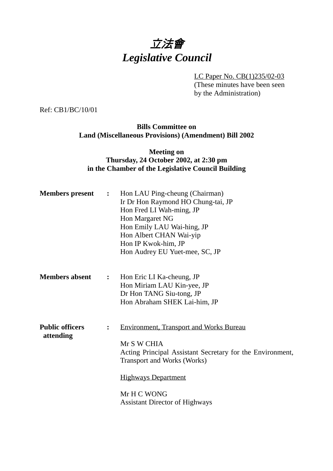# 立法會 *Legislative Council*

LC Paper No. CB(1)235/02-03 (These minutes have been seen

by the Administration)

Ref: CB1/BC/10/01

## **Bills Committee on Land (Miscellaneous Provisions) (Amendment) Bill 2002**

### **Meeting on Thursday, 24 October 2002, at 2:30 pm in the Chamber of the Legislative Council Building**

| <b>Members</b> present              | $\ddot{\cdot}$ | Hon LAU Ping-cheung (Chairman)<br>Ir Dr Hon Raymond HO Chung-tai, JP<br>Hon Fred LI Wah-ming, JP<br>Hon Margaret NG<br>Hon Emily LAU Wai-hing, JP<br>Hon Albert CHAN Wai-yip<br>Hon IP Kwok-him, JP<br>Hon Audrey EU Yuet-mee, SC, JP                  |
|-------------------------------------|----------------|--------------------------------------------------------------------------------------------------------------------------------------------------------------------------------------------------------------------------------------------------------|
| <b>Members absent</b>               | $\ddot{\cdot}$ | Hon Eric LI Ka-cheung, JP<br>Hon Miriam LAU Kin-yee, JP<br>Dr Hon TANG Siu-tong, JP<br>Hon Abraham SHEK Lai-him, JP                                                                                                                                    |
| <b>Public officers</b><br>attending | $\ddot{\cdot}$ | <b>Environment, Transport and Works Bureau</b><br>Mr S W CHIA<br>Acting Principal Assistant Secretary for the Environment,<br><b>Transport and Works (Works)</b><br><b>Highways Department</b><br>Mr H C WONG<br><b>Assistant Director of Highways</b> |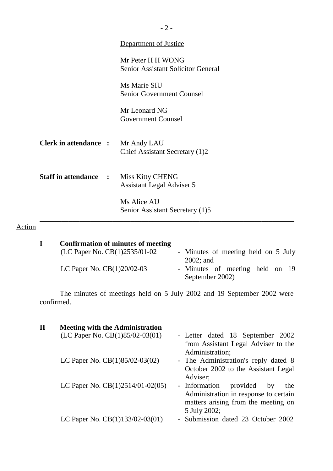|                              | Department of Justice                                          |  |
|------------------------------|----------------------------------------------------------------|--|
|                              | Mr Peter H H WONG<br><b>Senior Assistant Solicitor General</b> |  |
|                              | Ms Marie SIU<br>Senior Government Counsel                      |  |
|                              | Mr Leonard NG<br><b>Government Counsel</b>                     |  |
| <b>Clerk in attendance :</b> | Mr Andy LAU<br>Chief Assistant Secretary (1)2                  |  |
| <b>Staff in attendance :</b> | <b>Miss Kitty CHENG</b><br><b>Assistant Legal Adviser 5</b>    |  |
|                              | Ms Alice AU<br>Senior Assistant Secretary (1)5                 |  |

# Action

| <b>Confirmation of minutes of meeting</b> |                                                    |
|-------------------------------------------|----------------------------------------------------|
| (LC Paper No. $CB(1)2535/01-02$           | - Minutes of meeting held on 5 July                |
|                                           | $2002$ ; and                                       |
| LC Paper No. $CB(1)20/02-03$              | - Minutes of meeting held on 19<br>September 2002) |
|                                           |                                                    |

The minutes of meetings held on 5 July 2002 and 19 September 2002 were confirmed.

| $\mathbf{I}\mathbf{I}$ | <b>Meeting with the Administration</b> |                                        |
|------------------------|----------------------------------------|----------------------------------------|
|                        | (LC Paper No. CB(1)85/02-03(01)        | - Letter dated 18 September 2002       |
|                        |                                        | from Assistant Legal Adviser to the    |
|                        |                                        | Administration;                        |
|                        | LC Paper No. $CB(1)85/02-03(02)$       | - The Administration's reply dated 8   |
|                        |                                        | October 2002 to the Assistant Legal    |
|                        |                                        | Adviser;                               |
|                        | LC Paper No. CB(1)2514/01-02(05)       | - Information<br>provided<br>by<br>the |
|                        |                                        | Administration in response to certain  |
|                        |                                        | matters arising from the meeting on    |
|                        |                                        | 5 July 2002;                           |
|                        | LC Paper No. CB(1)133/02-03(01)        | - Submission dated 23 October 2002     |
|                        |                                        |                                        |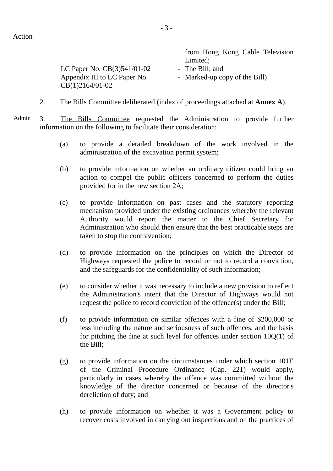from Hong Kong Cable Television Limited; LC Paper No.  $CB(3)541/01-02$  - The Bill; and Appendix III to LC Paper No. CB(1)2164/01-02 - Marked-up copy of the Bill)

- 2. The Bills Committee deliberated (index of proceedings attached at **Annex A**).
- Admin 3. The Bills Committee requested the Administration to provide further information on the following to facilitate their consideration:
	- (a) to provide a detailed breakdown of the work involved in the administration of the excavation permit system;
	- (b) to provide information on whether an ordinary citizen could bring an action to compel the public officers concerned to perform the duties provided for in the new section 2A;
	- (c) to provide information on past cases and the statutory reporting mechanism provided under the existing ordinances whereby the relevant Authority would report the matter to the Chief Secretary for Administration who should then ensure that the best practicable steps are taken to stop the contravention;
	- (d) to provide information on the principles on which the Director of Highways requested the police to record or not to record a conviction, and the safeguards for the confidentiality of such information;
	- (e) to consider whether it was necessary to include a new provision to reflect the Administration's intent that the Director of Highways would not request the police to record conviction of the offence(s) under the Bill;
	- (f) to provide information on similar offences with a fine of \$200,000 or less including the nature and seriousness of such offences, and the basis for pitching the fine at such level for offences under section 10Q(1) of the Bill;
	- (g) to provide information on the circumstances under which section 101E of the Criminal Procedure Ordinance (Cap. 221) would apply, particularly in cases whereby the offence was committed without the knowledge of the director concerned or because of the director's dereliction of duty; and
	- (h) to provide information on whether it was a Government policy to recover costs involved in carrying out inspections and on the practices of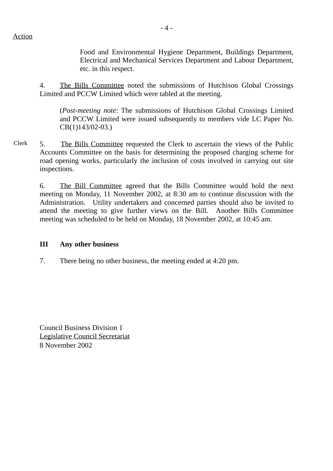Food and Environmental Hygiene Department, Buildings Department, Electrical and Mechanical Services Department and Labour Department, etc. in this respect.

4. The Bills Committee noted the submissions of Hutchison Global Crossings Limited and PCCW Limited which were tabled at the meeting.

(*Post-meeting note*: The submissions of Hutchison Global Crossings Limited and PCCW Limited were issued subsequently to members vide LC Paper No. CB(1)143/02-03.)

Clerk 5. The Bills Committee requested the Clerk to ascertain the views of the Public Accounts Committee on the basis for determining the proposed charging scheme for road opening works, particularly the inclusion of costs involved in carrying out site inspections.

6. The Bill Committee agreed that the Bills Committee would hold the next meeting on Monday, 11 November 2002, at 8:30 am to continue discussion with the Administration. Utility undertakers and concerned parties should also be invited to attend the meeting to give further views on the Bill. Another Bills Committee meeting was scheduled to be held on Monday, 18 November 2002, at 10:45 am.

### **III Any other business**

7. There being no other business, the meeting ended at 4:20 pm.

Council Business Division 1 Legislative Council Secretariat 8 November 2002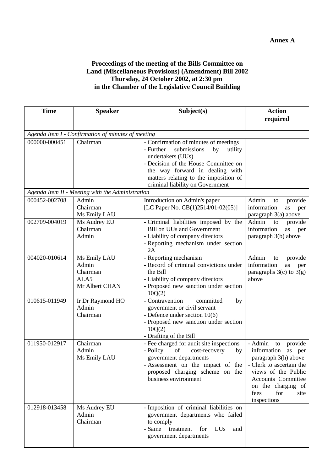### **Proceedings of the meeting of the Bills Committee on Land (Miscellaneous Provisions) (Amendment) Bill 2002 Thursday, 24 October 2002, at 2:30 pm in the Chamber of the Legislative Council Building**

| <b>Time</b>                                        | <b>Speaker</b>                                              | Subject(s)                                                                                                                                                                                                                                                      | <b>Action</b>                                                                                                                                                                                                         |  |  |  |  |
|----------------------------------------------------|-------------------------------------------------------------|-----------------------------------------------------------------------------------------------------------------------------------------------------------------------------------------------------------------------------------------------------------------|-----------------------------------------------------------------------------------------------------------------------------------------------------------------------------------------------------------------------|--|--|--|--|
|                                                    |                                                             |                                                                                                                                                                                                                                                                 | required                                                                                                                                                                                                              |  |  |  |  |
| Agenda Item I - Confirmation of minutes of meeting |                                                             |                                                                                                                                                                                                                                                                 |                                                                                                                                                                                                                       |  |  |  |  |
| 000000-000451                                      | Chairman                                                    | - Confirmation of minutes of meetings<br>submissions<br>- Further<br>by<br>utility<br>undertakers (UUs)<br>- Decision of the House Committee on<br>the way forward in dealing with<br>matters relating to the imposition of<br>criminal liability on Government |                                                                                                                                                                                                                       |  |  |  |  |
|                                                    | Agenda Item II - Meeting with the Administration            |                                                                                                                                                                                                                                                                 |                                                                                                                                                                                                                       |  |  |  |  |
| 000452-002708                                      | Admin<br>Chairman<br>Ms Emily LAU                           | Introduction on Admin's paper<br>[LC Paper No. CB(1)2514/01-02(05)]                                                                                                                                                                                             | Admin<br>provide<br>to<br>information<br>as<br>per<br>paragraph 3(a) above                                                                                                                                            |  |  |  |  |
| 002709-004019                                      | Ms Audrey EU<br>Chairman<br>Admin                           | - Criminal liabilities imposed by the<br><b>Bill on UUs and Government</b><br>- Liability of company directors<br>- Reporting mechanism under section<br>2A                                                                                                     | Admin<br>provide<br>to<br>information<br>as<br>per<br>paragraph 3(b) above                                                                                                                                            |  |  |  |  |
| 004020-010614                                      | Ms Emily LAU<br>Admin<br>Chairman<br>ALA5<br>Mr Albert CHAN | - Reporting mechanism<br>- Record of criminal convictions under<br>the Bill<br>- Liability of company directors<br>- Proposed new sanction under section<br>10Q(2)                                                                                              | Admin<br>provide<br>to<br>information<br>as<br>per<br>paragraphs $3(c)$ to $3(g)$<br>above                                                                                                                            |  |  |  |  |
| 010615-011949                                      | Ir Dr Raymond HO<br>Admin<br>Chairman                       | - Contravention<br>committed<br>by<br>government or civil servant<br>- Defence under section $10(6)$<br>- Proposed new sanction under section<br>10Q(2)<br>- Drafting of the Bill                                                                               |                                                                                                                                                                                                                       |  |  |  |  |
| 011950-012917                                      | Chairman<br>Admin<br>Ms Emily LAU                           | - Fee charged for audit site inspections<br>- Policy<br>cost-recovery<br>of<br>by<br>government departments<br>- Assessment on the impact of the<br>proposed charging scheme on the<br>business environment                                                     | - Admin<br>provide<br>to<br>information<br>as per<br>paragraph 3(h) above<br>- Clerk to ascertain the<br>views of the Public<br><b>Accounts Committee</b><br>on the charging of<br>fees<br>for<br>site<br>inspections |  |  |  |  |
| 012918-013458                                      | Ms Audrey EU<br>Admin<br>Chairman                           | - Imposition of criminal liabilities on<br>government departments who failed<br>to comply<br>- Same treatment<br><b>UUs</b><br>for<br>and<br>government departments                                                                                             |                                                                                                                                                                                                                       |  |  |  |  |